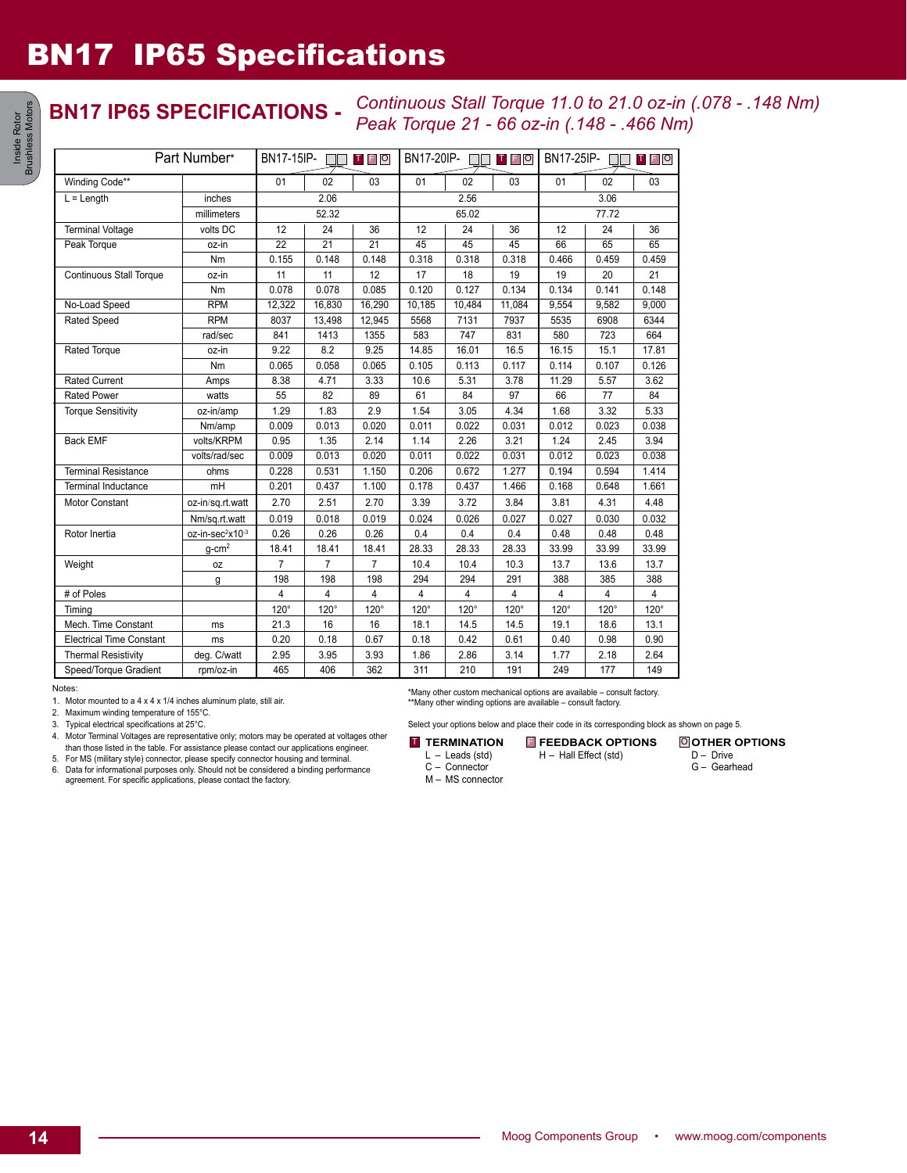# BN17 IP65 Specifications

### **BN17 IP65 SPECIFICATIONS -** *Continuous Stall Torque 11.0 to 21.0 oz-in (.078 - .148 Nm) Peak Torque 21 - 66 oz-in (.148 - .466 Nm)*

| Part Number*                    |                              | <b>BN17-15IP-</b><br><b>TFO</b> |                |                 | BN17-20IP-<br><b>TFO</b> |             | BN17-25IP-<br><b>TFO</b> |                |       |       |
|---------------------------------|------------------------------|---------------------------------|----------------|-----------------|--------------------------|-------------|--------------------------|----------------|-------|-------|
| Winding Code**                  |                              | 01                              | 02             | 03              | 01                       | 02          | 03                       | 01             | 02    | 03    |
| $L =$ Length                    | inches                       | 2.06                            |                |                 | 2.56                     |             |                          | 3.06           |       |       |
|                                 | millimeters                  |                                 | 52.32          |                 |                          | 65.02       |                          | 77.72          |       |       |
| <b>Terminal Voltage</b>         | volts DC                     | 12                              | 24             | 36              | 12                       | 24          | 36                       | 12             | 24    | 36    |
| Peak Torque                     | oz-in                        | $\overline{22}$                 | 21             | $\overline{21}$ | 45                       | 45          | 45                       | 66             | 65    | 65    |
|                                 | Nm                           | 0.155                           | 0.148          | 0.148           | 0.318                    | 0.318       | 0.318                    | 0.466          | 0.459 | 0.459 |
| <b>Continuous Stall Torque</b>  | oz-in                        | 11                              | 11             | 12              | 17                       | 18          | 19                       | 19             | 20    | 21    |
|                                 | Nm                           | 0.078                           | 0.078          | 0.085           | 0.120                    | 0.127       | 0.134                    | 0.134          | 0.141 | 0.148 |
| No-Load Speed                   | <b>RPM</b>                   | 12,322                          | 16,830         | 16,290          | 10,185                   | 10,484      | 11,084                   | 9,554          | 9,582 | 9.000 |
| <b>Rated Speed</b>              | <b>RPM</b>                   | 8037                            | 13,498         | 12,945          | 5568                     | 7131        | 7937                     | 5535           | 6908  | 6344  |
|                                 | rad/sec                      | 841                             | 1413           | 1355            | 583                      | 747         | 831                      | 580            | 723   | 664   |
| Rated Torque                    | oz-in                        | 9.22                            | 8.2            | 9.25            | 14.85                    | 16.01       | 16.5                     | 16.15          | 15.1  | 17.81 |
|                                 | Nm                           | 0.065                           | 0.058          | 0.065           | 0.105                    | 0.113       | 0.117                    | 0.114          | 0.107 | 0.126 |
| <b>Rated Current</b>            | Amps                         | 8.38                            | 4.71           | 3.33            | 10.6                     | 5.31        | 3.78                     | 11.29          | 5.57  | 3.62  |
| <b>Rated Power</b>              | watts                        | 55                              | 82             | 89              | 61                       | 84          | 97                       | 66             | 77    | 84    |
| <b>Torque Sensitivity</b>       | oz-in/amp                    | 1.29                            | 1.83           | 2.9             | 1.54                     | 3.05        | 4.34                     | 1.68           | 3.32  | 5.33  |
|                                 | Nm/amp                       | 0.009                           | 0.013          | 0.020           | 0.011                    | 0.022       | 0.031                    | 0.012          | 0.023 | 0.038 |
| <b>Back EMF</b>                 | volts/KRPM                   | 0.95                            | 1.35           | 2.14            | 1.14                     | 2.26        | 3.21                     | 1.24           | 2.45  | 3.94  |
|                                 | volts/rad/sec                | 0.009                           | 0.013          | 0.020           | 0.011                    | 0.022       | 0.031                    | 0.012          | 0.023 | 0.038 |
| <b>Terminal Resistance</b>      | ohms                         | 0.228                           | 0.531          | 1.150           | 0.206                    | 0.672       | 1.277                    | 0.194          | 0.594 | 1.414 |
| <b>Terminal Inductance</b>      | mH                           | 0.201                           | 0.437          | 1.100           | 0.178                    | 0.437       | 1.466                    | 0.168          | 0.648 | 1.661 |
| <b>Motor Constant</b>           | oz-in/sq.rt.watt             | 2.70                            | 2.51           | 2.70            | 3.39                     | 3.72        | 3.84                     | 3.81           | 4.31  | 4.48  |
|                                 | Nm/sq.rt.watt                | 0.019                           | 0.018          | 0.019           | 0.024                    | 0.026       | 0.027                    | 0.027          | 0.030 | 0.032 |
| Rotor Inertia                   | oz-in-sec <sup>2</sup> x10-3 | 0.26                            | 0.26           | 0.26            | 0.4                      | 0.4         | 0.4                      | 0.48           | 0.48  | 0.48  |
|                                 | $q$ -cm <sup>2</sup>         | 18.41                           | 18.41          | 18.41           | 28.33                    | 28.33       | 28.33                    | 33.99          | 33.99 | 33.99 |
| Weight                          | 0Z                           | 7                               | $\overline{7}$ | 7               | 10.4                     | 10.4        | 10.3                     | 13.7           | 13.6  | 13.7  |
|                                 | g                            | 198                             | 198            | 198             | 294                      | 294         | 291                      | 388            | 385   | 388   |
| # of Poles                      |                              | 4                               | $\overline{4}$ | 4               | 4                        | 4           | 4                        | $\overline{4}$ | 4     | 4     |
| Timing                          |                              | 120°                            | 120°           | 120°            | 120°                     | $120^\circ$ | 120°                     | 120°           | 120°  | 120°  |
| Mech. Time Constant             | ms                           | 21.3                            | 16             | 16              | 18.1                     | 14.5        | 14.5                     | 19.1           | 18.6  | 13.1  |
| <b>Electrical Time Constant</b> | ms                           | 0.20                            | 0.18           | 0.67            | 0.18                     | 0.42        | 0.61                     | 0.40           | 0.98  | 0.90  |
| <b>Thermal Resistivity</b>      | deg. C/watt                  | 2.95                            | 3.95           | 3.93            | 1.86                     | 2.86        | 3.14                     | 1.77           | 2.18  | 2.64  |
| Speed/Torque Gradient           | rpm/oz-in                    | 465                             | 406            | 362             | 311                      | 210         | 191                      | 249            | 177   | 149   |

Notes:

1. Motor mounted to a 4 x 4 x 1/4 inches aluminum plate, still air.

2. Maximum winding temperature of 155°C.

3. Typical electrical specifications at 25°C.

4. Motor Terminal Voltages are representative only; motors may be operated at voltages other than those listed in the table. For assistance please contact our applications engineer.

5. For MS (military style) connector, please specify connector housing and terminal. 6. Data for informational purposes only. Should not be considered a binding performance agreement. For specific applications, please contact the factory.

\*Many other custom mechanical options are available – consult factory. \*\*Many other winding options are available – consult factory.

Select your options below and place their code in its corresponding block as shown on page 5.

**T** TERMINATION FEEDBACK OPTIONS

L – Leads (std) H – Hall Effect (std)

C – Connector

M – MS connector

**OTHER OPTIONS** D – Drive G – Gearhead

Inside Rotor<br>
ushless Motors Brushless Motors Inside Rotor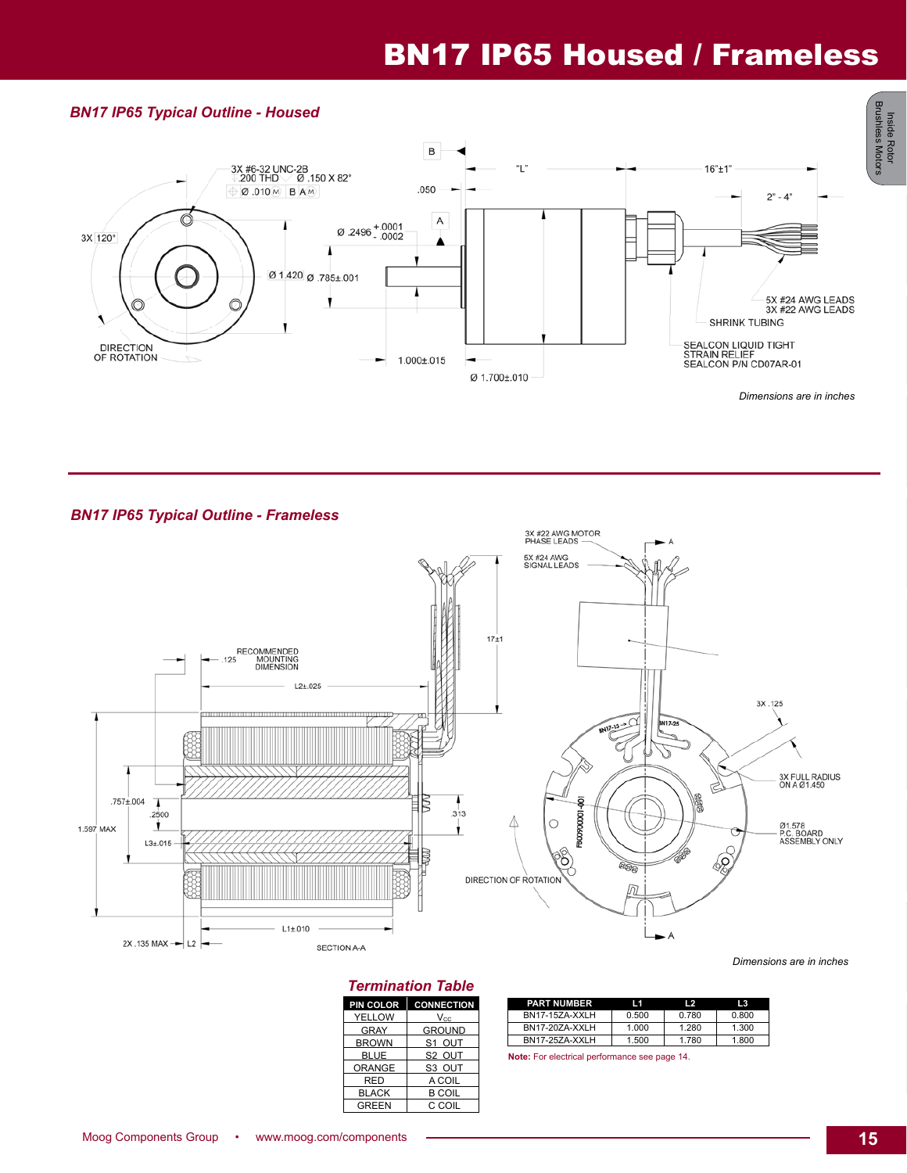# BN17 IP65 Housed / Frameless

#### *BN17 IP65 Typical Outline - Housed*



*BN17 IP65 Typical Outline - Frameless*



### *Termination Table*

| PIN COLOR     | <b>CONNECTION</b>  |
|---------------|--------------------|
| <b>YELLOW</b> | Vcc                |
| <b>GRAY</b>   | <b>GROUND</b>      |
| <b>BROWN</b>  | S1 OUT             |
| <b>BLUE</b>   | S <sub>2</sub> OUT |
| <b>ORANGE</b> | S <sub>3</sub> OUT |
| RED           | A COIL             |
| <b>BLACK</b>  | <b>B COIL</b>      |
| <b>GREEN</b>  | C COIL             |

| <b>PART NUMBER</b> | l 1   | $\overline{2}$ | 13    |
|--------------------|-------|----------------|-------|
| BN17-15ZA-XXLH     | 0.500 | 0.780          | 0.800 |
| BN17-20ZA-XXLH     | 1.000 | 1.280          | 1.300 |
| BN17-25ZA-XXLH     | 1.500 | 1.780          | 1.800 |

**Note:** For electrical performance see page 14.